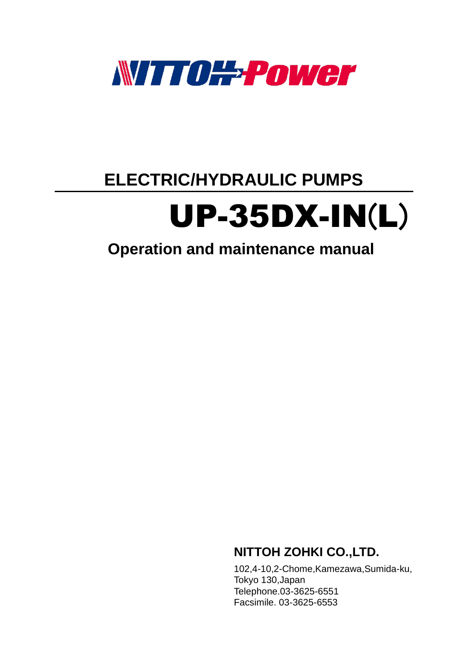

## **ELECTRIC/HYDRAULIC PUMPS**

# UP-35DX-IN(L)

## **Operation and maintenance manual**

### **NITTOH ZOHKI CO.,LTD.**

102,4-10,2-Chome,Kamezawa,Sumida-ku, Tokyo 130,Japan Telephone.03-3625-6551 Facsimile. 03-3625-6553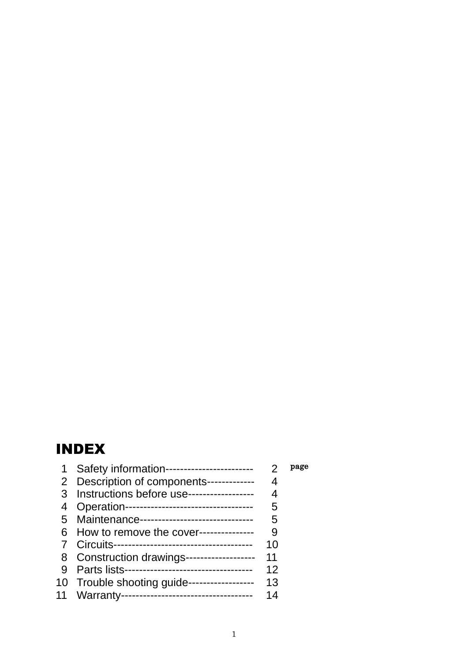## INDEX

| 1              | Safety information------------------------   |    | page |
|----------------|----------------------------------------------|----|------|
|                | 2 Description of components-------------     | 4  |      |
|                | 3 Instructions before use------------------  | 4  |      |
|                | Operation----------------------------------- | 5  |      |
| 5 <sup>5</sup> | Maintenance------------------------------    | 5  |      |
| 6              | How to remove the cover--------------        | 9  |      |
|                |                                              | 10 |      |
|                | 8 Construction drawings------------------    | 11 |      |
|                |                                              | 12 |      |
|                | 10 Trouble shooting guide------------------  | 13 |      |
| 11             | Warranty-----------------------------------  | 14 |      |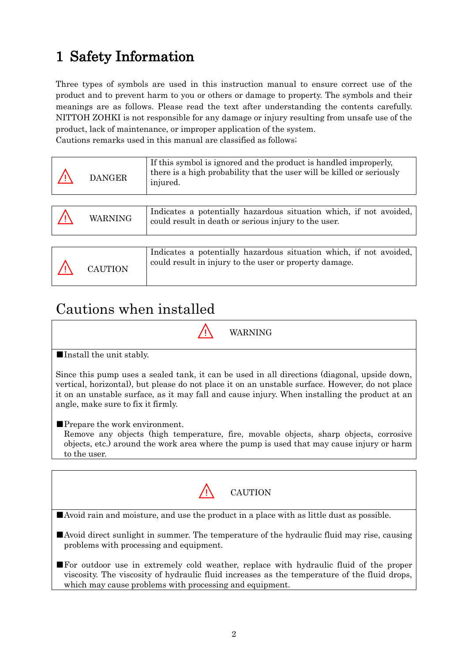## 1 Safety Information

Three types of symbols are used in this instruction manual to ensure correct use of the product and to prevent harm to you or others or damage to property. The symbols and their meanings are as follows. Please read the text after understanding the contents carefully. NITTOH ZOHKI is not responsible for any damage or injury resulting from unsafe use of the product, lack of maintenance, or improper application of the system.

Cautions remarks used in this manual are classified as follows;

| <b>DANGER</b> | If this symbol is ignored and the product is handled improperly,<br>there is a high probability that the user will be killed or seriously<br>injured. |
|---------------|-------------------------------------------------------------------------------------------------------------------------------------------------------|
|               |                                                                                                                                                       |
| WARNING       | Indicates a potentially hazardous situation which, if not avoided,<br>could result in death or serious injury to the user.                            |
|               |                                                                                                                                                       |
| CAUTION       | Indicates a potentially hazardous situation which, if not avoided,<br>could result in injury to the user or property damage.                          |

### Cautions when installed



■Install the unit stably.

Since this pump uses a sealed tank, it can be used in all directions (diagonal, upside down, vertical, horizontal), but please do not place it on an unstable surface. However, do not place it on an unstable surface, as it may fall and cause injury. When installing the product at an angle, make sure to fix it firmly.

■Prepare the work environment.

Remove any objects (high temperature, fire, movable objects, sharp objects, corrosive objects, etc.) around the work area where the pump is used that may cause injury or harm to the user.

| CAUTION                                                                                                                                                                                                                                                 |  |  |  |  |
|---------------------------------------------------------------------------------------------------------------------------------------------------------------------------------------------------------------------------------------------------------|--|--|--|--|
| Avoid rain and moisture, and use the product in a place with as little dust as possible.                                                                                                                                                                |  |  |  |  |
| Avoid direct sunlight in summer. The temperature of the hydraulic fluid may rise, causing<br>problems with processing and equipment.                                                                                                                    |  |  |  |  |
| <b>For outdoor use in extremely cold weather, replace with hydraulic fluid of the proper</b><br>viscosity. The viscosity of hydraulic fluid increases as the temperature of the fluid drops,<br>which may cause problems with processing and equipment. |  |  |  |  |
|                                                                                                                                                                                                                                                         |  |  |  |  |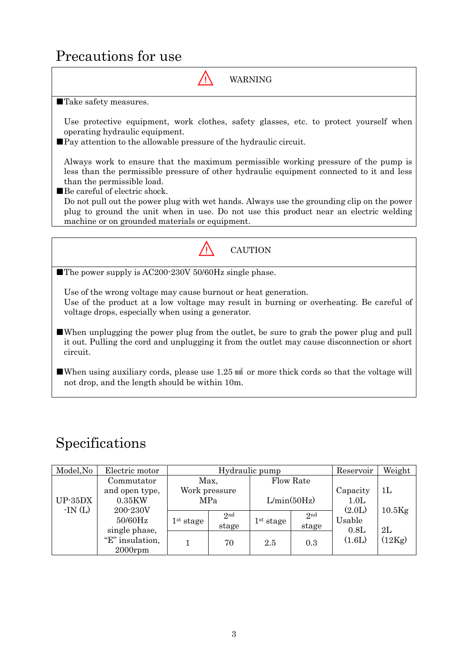### Precautions for use



■When using auxiliary cords, please use 1.25  $\text{m}$  or more thick cords so that the voltage will not drop, and the length should be within 10m.

### Specifications

| Model, No | Electric motor  | Hydraulic pump        |                 |                       | Reservoir       | Weight   |                |
|-----------|-----------------|-----------------------|-----------------|-----------------------|-----------------|----------|----------------|
|           | Commutator      | Max,                  |                 | Flow Rate             |                 |          |                |
|           | and open type,  | Work pressure         |                 |                       |                 | Capacity | 1 <sub>L</sub> |
| $UP-35DX$ | 0.35KW          | <b>MPa</b>            |                 |                       | L/min(50Hz)     | 1.0L     |                |
| $-IN(L)$  | 200-230V        |                       |                 |                       |                 | (2.0L)   | $10.5$ Kg      |
|           | $50/60$ Hz      | 1 <sup>st</sup> stage | 2 <sub>nd</sub> | 1 <sup>st</sup> stage | 2 <sub>nd</sub> | Usable   |                |
|           | single phase,   |                       | stage           |                       | stage           | 0.8L     | 2L             |
|           | "E" insulation, |                       | 70              | 2.5                   | 0.3             | (1.6L)   | (12Kg)         |
|           | $2000$ rpm      |                       |                 |                       |                 |          |                |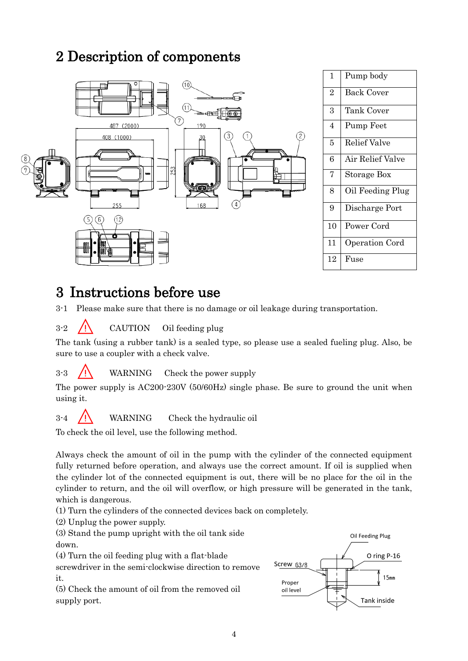### 2 Description of components



| 1  | Pump body        |
|----|------------------|
| 2  | Back Cover       |
| 3  | Tank Cover       |
| 4  | Pump Feet        |
| 5  | Relief Valve     |
| 6  | Air Relief Valve |
| 7  | Storage Box      |
| 8  | Oil Feeding Plug |
| 9  | Discharge Port   |
| 10 | Power Cord       |
| 11 | Operation Cord   |
| 12 | Fuse             |
|    |                  |

### 3 Instructions before use

3-1 Please make sure that there is no damage or oil leakage during transportation.

 $3-2$  /  $\bigwedge$  CAUTION Oil feeding plug

The tank (using a rubber tank) is a sealed type, so please use a sealed fueling plug. Also, be sure to use a coupler with a check valve.

 $3-3$  /! WARNING Check the power supply

The power supply is AC200-230V (50/60Hz) single phase. Be sure to ground the unit when using it.

 $3-4$   $\overrightarrow{J}$  WARNING Check the hydraulic oil

To check the oil level, use the following method.

Always check the amount of oil in the pump with the cylinder of the connected equipment fully returned before operation, and always use the correct amount. If oil is supplied when the cylinder lot of the connected equipment is out, there will be no place for the oil in the cylinder to return, and the oil will overflow, or high pressure will be generated in the tank, which is dangerous.

(1) Turn the cylinders of the connected devices back on completely.

(2) Unplug the power supply.

(3) Stand the pump upright with the oil tank side down.

(4) Turn the oil feeding plug with a flat-blade

screwdriver in the semi-clockwise direction to remove it.

(5) Check the amount of oil from the removed oil supply port.

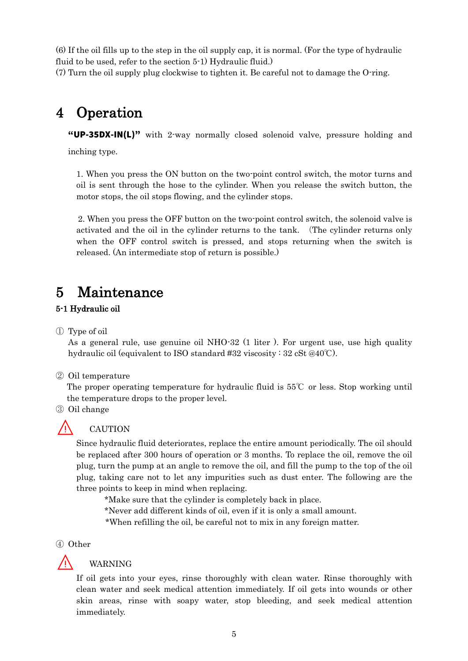(6) If the oil fills up to the step in the oil supply cap, it is normal. (For the type of hydraulic fluid to be used, refer to the section 5-1) Hydraulic fluid.)

(7) Turn the oil supply plug clockwise to tighten it. Be careful not to damage the O-ring.

## 4 Operation

"UP-35DX-IN(L)" with 2-way normally closed solenoid valve, pressure holding and

inching type.

1. When you press the ON button on the two-point control switch, the motor turns and oil is sent through the hose to the cylinder. When you release the switch button, the motor stops, the oil stops flowing, and the cylinder stops.

2. When you press the OFF button on the two-point control switch, the solenoid valve is activated and the oil in the cylinder returns to the tank. (The cylinder returns only when the OFF control switch is pressed, and stops returning when the switch is released. (An intermediate stop of return is possible.)

### 5 Maintenance

### 5-1 Hydraulic oil

① Type of oil

As a general rule, use genuine oil NHO-32 (1 liter ). For urgent use, use high quality hydraulic oil (equivalent to ISO standard #32 viscosity : 32 cSt @40℃).

### ② Oil temperature

The proper operating temperature for hydraulic fluid is 55℃ or less. Stop working until the temperature drops to the proper level.

③ Oil change



### ⚠ CAUTION

Since hydraulic fluid deteriorates, replace the entire amount periodically. The oil should be replaced after 300 hours of operation or 3 months. To replace the oil, remove the oil plug, turn the pump at an angle to remove the oil, and fill the pump to the top of the oil plug, taking care not to let any impurities such as dust enter. The following are the three points to keep in mind when replacing.

\*Make sure that the cylinder is completely back in place.

\*Never add different kinds of oil, even if it is only a small amount.

\*When refilling the oil, be careful not to mix in any foreign matter.

④ Other



### ⚠ WARNING

If oil gets into your eyes, rinse thoroughly with clean water. Rinse thoroughly with clean water and seek medical attention immediately. If oil gets into wounds or other skin areas, rinse with soapy water, stop bleeding, and seek medical attention immediately.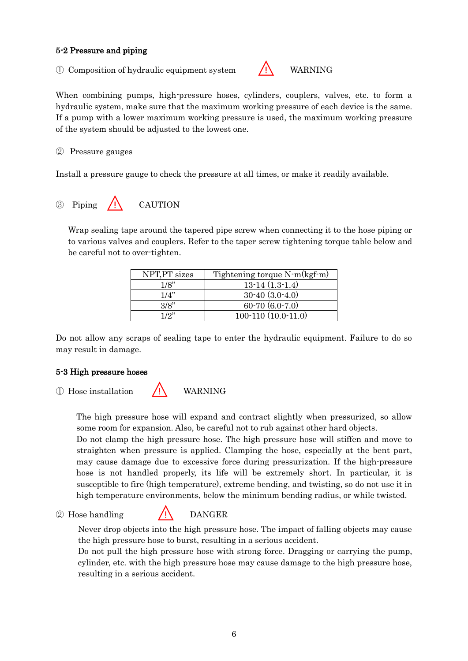#### 5-2 Pressure and piping

<sup>①</sup> Composition of hydraulic equipment system ⚠ WARNING



When combining pumps, high-pressure hoses, cylinders, couplers, valves, etc. to form a hydraulic system, make sure that the maximum working pressure of each device is the same. If a pump with a lower maximum working pressure is used, the maximum working pressure of the system should be adjusted to the lowest one.

② Pressure gauges

Install a pressure gauge to check the pressure at all times, or make it readily available.

 $\odot$  Piping  $\bigwedge$  CAUTION

Wrap sealing tape around the tapered pipe screw when connecting it to the hose piping or to various valves and couplers. Refer to the taper screw tightening torque table below and be careful not to over-tighten.

| NPT, PT sizes | Tightening torque N-m(kgf-m) |
|---------------|------------------------------|
| 1/8"          | $13-14(1.3-1.4)$             |
| 1/4"          | $30-40(3.0-4.0)$             |
| 3/8"          | $60-70(6.0-7.0)$             |
| 1/2"          | $100-110(10.0-11.0)$         |

Do not allow any scraps of sealing tape to enter the hydraulic equipment. Failure to do so may result in damage.

#### 5-3 High pressure hoses

<sup>①</sup> Hose installation ⚠ WARNING

The high pressure hose will expand and contract slightly when pressurized, so allow some room for expansion. Also, be careful not to rub against other hard objects.

Do not clamp the high pressure hose. The high pressure hose will stiffen and move to straighten when pressure is applied. Clamping the hose, especially at the bent part, may cause damage due to excessive force during pressurization. If the high-pressure hose is not handled properly, its life will be extremely short. In particular, it is susceptible to fire (high temperature), extreme bending, and twisting, so do not use it in high temperature environments, below the minimum bending radius, or while twisted.

#### 2 Hose handling / / DANGER

Never drop objects into the high pressure hose. The impact of falling objects may cause the high pressure hose to burst, resulting in a serious accident.

Do not pull the high pressure hose with strong force. Dragging or carrying the pump, cylinder, etc. with the high pressure hose may cause damage to the high pressure hose, resulting in a serious accident.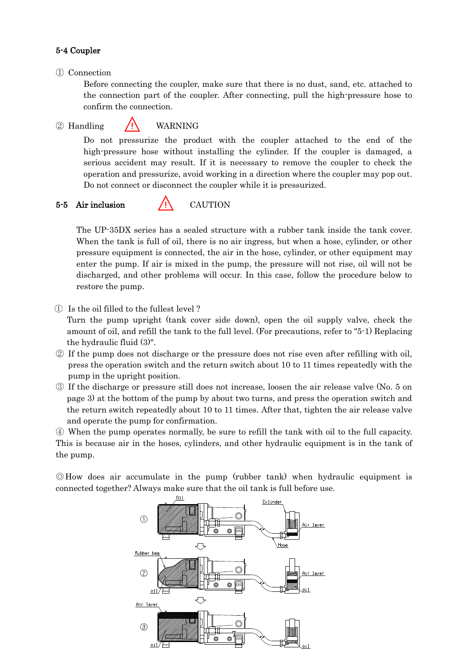#### 5-4 Coupler

#### ① Connection

Before connecting the coupler, make sure that there is no dust, sand, etc. attached to the connection part of the coupler. After connecting, pull the high-pressure hose to confirm the connection.

#### $\overline{Q}$  Handling  $\overline{P}$  WARNING

Do not pressurize the product with the coupler attached to the end of the high-pressure hose without installing the cylinder. If the coupler is damaged, a serious accident may result. If it is necessary to remove the coupler to check the operation and pressurize, avoid working in a direction where the coupler may pop out. Do not connect or disconnect the coupler while it is pressurized.

#### $5-5$  Air inclusion  $/1$  CAUTION

The UP-35DX series has a sealed structure with a rubber tank inside the tank cover. When the tank is full of oil, there is no air ingress, but when a hose, cylinder, or other pressure equipment is connected, the air in the hose, cylinder, or other equipment may enter the pump. If air is mixed in the pump, the pressure will not rise, oil will not be discharged, and other problems will occur. In this case, follow the procedure below to restore the pump.

① Is the oil filled to the fullest level ?

Turn the pump upright (tank cover side down), open the oil supply valve, check the amount of oil, and refill the tank to the full level. (For precautions, refer to "5-1) Replacing the hydraulic fluid (3)".

- ② If the pump does not discharge or the pressure does not rise even after refilling with oil, press the operation switch and the return switch about 10 to 11 times repeatedly with the pump in the upright position.
- ③ If the discharge or pressure still does not increase, loosen the air release valve (No. 5 on page 3) at the bottom of the pump by about two turns, and press the operation switch and the return switch repeatedly about 10 to 11 times. After that, tighten the air release valve and operate the pump for confirmation.

④ When the pump operates normally, be sure to refill the tank with oil to the full capacity. This is because air in the hoses, cylinders, and other hydraulic equipment is in the tank of the pump.

◎How does air accumulate in the pump (rubber tank) when hydraulic equipment is connected together? Always make sure that the oil tank is full before use.

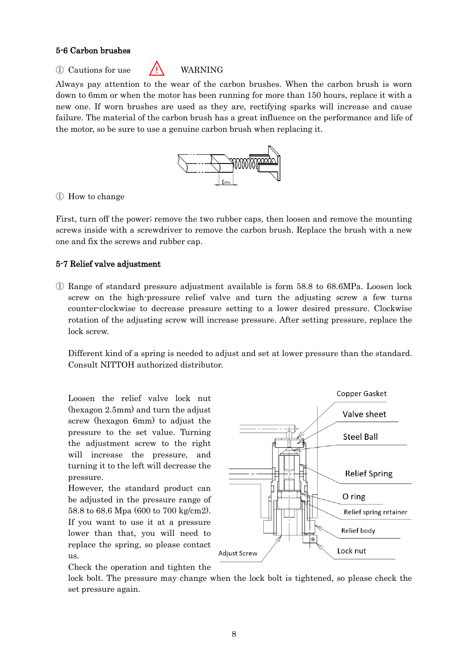#### 5-6 Carbon brushes

 $\overline{O}$  Cautions for use  $\overline{O}$  WARNING



Always pay attention to the wear of the carbon brushes. When the carbon brush is worn down to 6mm or when the motor has been running for more than 150 hours, replace it with a new one. If worn brushes are used as they are, rectifying sparks will increase and cause failure. The material of the carbon brush has a great influence on the performance and life of the motor, so be sure to use a genuine carbon brush when replacing it.



#### ① How to change

First, turn off the power; remove the two rubber caps, then loosen and remove the mounting screws inside with a screwdriver to remove the carbon brush. Replace the brush with a new one and fix the screws and rubber cap.

#### 5-7 Relief valve adjustment

① Range of standard pressure adjustment available is form 58.8 to 68.6MPa. Loosen lock screw on the high-pressure relief valve and turn the adjusting screw a few turns counter-clockwise to decrease pressure setting to a lower desired pressure. Clockwise rotation of the adjusting screw will increase pressure. After setting pressure, replace the lock screw.

Different kind of a spring is needed to adjust and set at lower pressure than the standard. Consult NITTOH authorized distributor.

Loosen the relief valve lock nut (hexagon 2.5mm) and turn the adjust screw (hexagon 6mm) to adjust the pressure to the set value. Turning the adjustment screw to the right will increase the pressure, and turning it to the left will decrease the pressure.

However, the standard product can be adjusted in the pressure range of 58.8 to 68.6 Mpa (600 to 700 kg/cm2). If you want to use it at a pressure lower than that, you will need to replace the spring, so please contact us.



Check the operation and tighten the

lock bolt. The pressure may change when the lock bolt is tightened, so please check the set pressure again.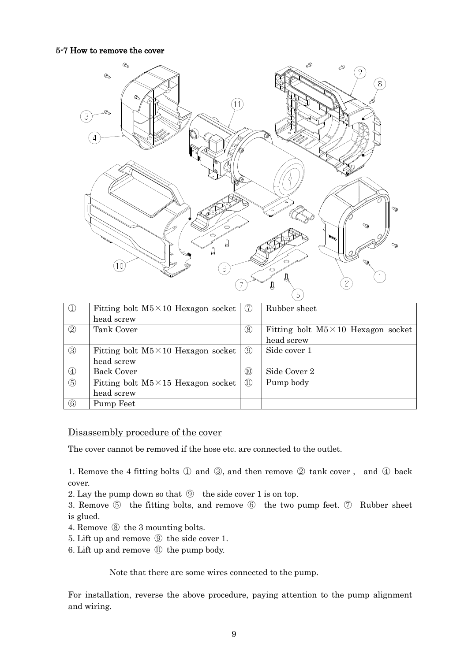#### 5-7 How to remove the cover



| $\mathbb{O}$   | Fitting bolt $M5 \times 10$ Hexagon socket | (7)  | Rubber sheet                               |
|----------------|--------------------------------------------|------|--------------------------------------------|
|                | head screw                                 |      |                                            |
| $\circled{2}$  | Tank Cover                                 | (8)  | Fitting bolt $M5 \times 10$ Hexagon socket |
|                |                                            |      | head screw                                 |
| $\circled{3}$  | Fitting bolt $M5 \times 10$ Hexagon socket | (9)  | Side cover 1                               |
|                | head screw                                 |      |                                            |
| $\circled{4}$  | <b>Back Cover</b>                          | (10) | Side Cover 2                               |
| $\circledS$    | Fitting bolt $M5 \times 15$ Hexagon socket | (11) | Pump body                                  |
|                | head screw                                 |      |                                            |
| $\circledcirc$ | Pump Feet                                  |      |                                            |

#### Disassembly procedure of the cover

The cover cannot be removed if the hose etc. are connected to the outlet.

1. Remove the 4 fitting bolts ① and ③, and then remove ② tank cover , and ④ back cover.

- 2. Lay the pump down so that ⑨ the side cover 1 is on top.
- 3. Remove ⑤ the fitting bolts, and remove ⑥ the two pump feet. ⑦ Rubber sheet is glued.
- 4. Remove ⑧ the 3 mounting bolts.
- 5. Lift up and remove ⑨ the side cover 1.
- 6. Lift up and remove ⑪ the pump body.

Note that there are some wires connected to the pump.

For installation, reverse the above procedure, paying attention to the pump alignment and wiring.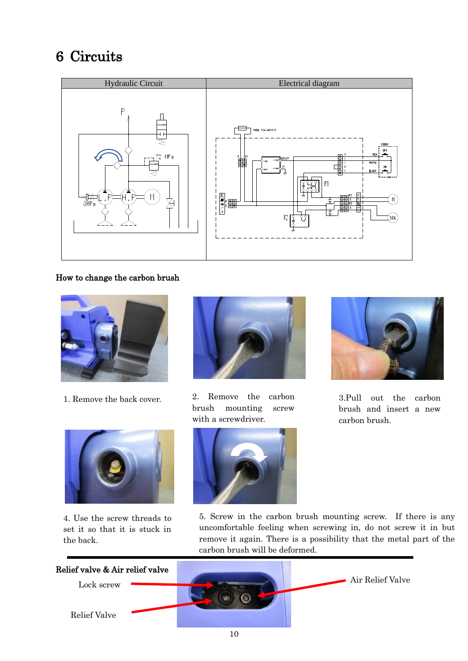### 6 Circuits



#### How to change the carbon brush



1. Remove the back cover.



4. Use the screw threads to set it so that it is stuck in the back.



2. Remove the carbon brush mounting screw with a screwdriver.





3.Pull out the carbon brush and insert a new carbon brush.

5. Screw in the carbon brush mounting screw. If there is any uncomfortable feeling when screwing in, do not screw it in but remove it again. There is a possibility that the metal part of the carbon brush will be deformed.

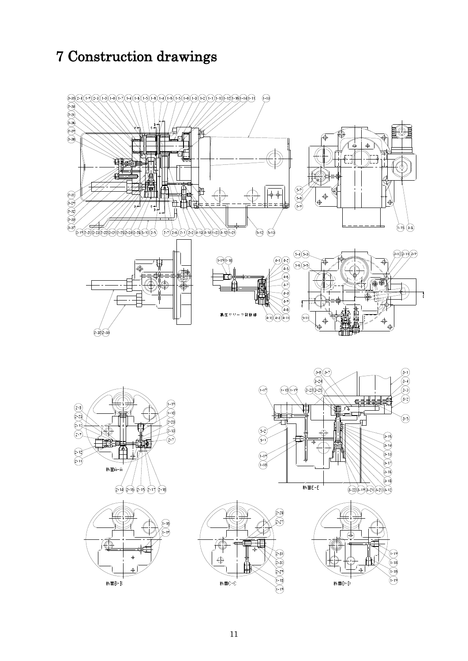## 7 Construction drawings











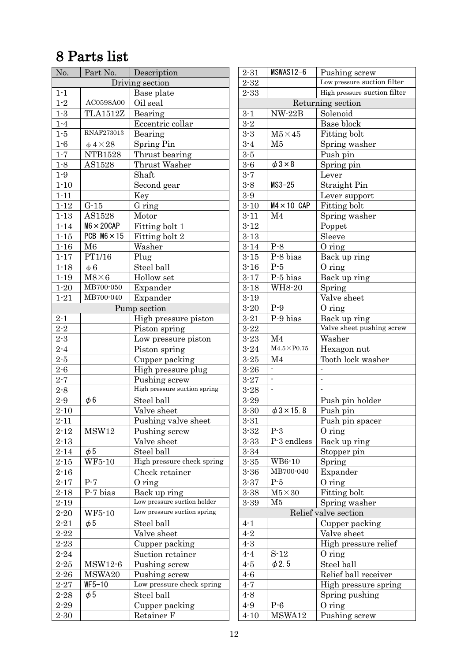### 8 Parts list

| No.             | Part No.               | Description                  |  |  |
|-----------------|------------------------|------------------------------|--|--|
| Driving section |                        |                              |  |  |
| $1 - 1$         |                        | Base plate                   |  |  |
| $1 - 2$         | AC0598A00              | Oil seal                     |  |  |
| $1 - 3$         | <b>TLA1512Z</b>        | Bearing                      |  |  |
| $1 - 4$         |                        | Eccentric collar             |  |  |
| $1 - 5$         | <b>RNAF273013</b>      | Bearing                      |  |  |
| $1-6$           | $\phi$ 4×28            | <b>Spring Pin</b>            |  |  |
| $1 - 7$         | <b>NTB1528</b>         | Thrust bearing               |  |  |
| $1 - 8$         | AS1528                 | Thrust Washer                |  |  |
| $1 - 9$         |                        | Shaft                        |  |  |
| $1 - 10$        |                        | Second gear                  |  |  |
| $1 - 11$        |                        | Key                          |  |  |
| $1 - 12$        | $G-15$                 | G ring                       |  |  |
| $1 - 13$        | AS1528                 | Motor                        |  |  |
| $1 - 14$        | $M6 \times 20$ CAP     | Fitting bolt 1               |  |  |
| $1 - 15$        | PCB $M6 \times 15$     | Fitting bolt 2               |  |  |
| $1 - 16$        | M6                     | Washer                       |  |  |
| $1 - 17$        | PT1/16                 | Plug                         |  |  |
| $1 - 18$        | $\phi$ 6               | Steel ball                   |  |  |
| $1 - 19$        | $M8\times 6$           | Hollow set                   |  |  |
| $1 - 20$        | MB700-050              | Expander                     |  |  |
| $1 - 21$        | MB700-040              | Expander                     |  |  |
|                 |                        | Pump section                 |  |  |
| $2 - 1$         |                        | High pressure piston         |  |  |
| $2 - 2$         |                        | Piston spring                |  |  |
| $2\mbox{-}3$    |                        | Low pressure piston          |  |  |
| $2 - 4$         |                        | Piston spring                |  |  |
| $2 - 5$         |                        | Cupper packing               |  |  |
| $2 - 6$         |                        | High pressure plug           |  |  |
| $2 - 7$         |                        | Pushing screw                |  |  |
| $2 - 8$         |                        | High pressure suction spring |  |  |
| $2 - 9$         | $\phi$ 6               | Steel ball                   |  |  |
| $2 - 10$        | Valve sheet            |                              |  |  |
| $2 - 11$        |                        | Pushing valve sheet          |  |  |
| $2 - 12$        | MSW12                  | Pushing screw                |  |  |
| $2 - 13$        |                        | Valve sheet                  |  |  |
| $2 - 14$        | $\phi$ 5               | Steel ball                   |  |  |
| $2 - 15$        | WF5-10                 | High pressure check spring   |  |  |
| $2 - 16$        |                        | Check retainer               |  |  |
| $2 - 17$        | $P-7$                  | $0$ ring                     |  |  |
| $2 - 18$        | P-7 bias               | Back up ring                 |  |  |
| $2 - 19$        |                        | Low pressure suction holder  |  |  |
| $2 - 20$        | WF5-10                 | Low pressure suction spring  |  |  |
| $2 - 21$        | $\phi$ 5               | Steel ball                   |  |  |
| $2 - 22$        | Valve sheet            |                              |  |  |
| $2 - 23$        | Cupper packing         |                              |  |  |
| $2 - 24$        | Suction retainer       |                              |  |  |
| $2 - 25$        | MSW12-6                | Pushing screw                |  |  |
| $2 - 26$        | MSWA20                 | Pushing screw                |  |  |
| $2 - 27$        | $WF5-10$               | Low pressure check spring    |  |  |
| $2 - 28$        | Steel ball<br>$\phi$ 5 |                              |  |  |
| $2 - 29$        |                        | Cupper packing               |  |  |
| $2 - 30$        |                        | Retainer F                   |  |  |

| $2 - 31$ | MSWAS12-6              | Pushing screw                |  |  |  |
|----------|------------------------|------------------------------|--|--|--|
| $2 - 32$ |                        | Low pressure suction filter  |  |  |  |
| $2 - 33$ |                        | High pressure suction filter |  |  |  |
|          | Returning section      |                              |  |  |  |
| $3 - 1$  | $NW-22B$               | Solenoid                     |  |  |  |
| $3 - 2$  |                        | Base block                   |  |  |  |
| $3 - 3$  | $M5 \times 45$         | Fitting bolt                 |  |  |  |
| $3 - 4$  | M5                     | Spring washer                |  |  |  |
| $3 - 5$  |                        | Push pin                     |  |  |  |
| $3 - 6$  | $\phi$ 3×8             | Spring pin                   |  |  |  |
| $3 - 7$  |                        | Lever                        |  |  |  |
| $3 - 8$  | $MS3-25$               | Straight Pin                 |  |  |  |
| $3-9$    |                        | Lever support                |  |  |  |
| $3 - 10$ | $MA \times 10$ CAP     | Fitting bolt                 |  |  |  |
| $3 - 11$ | M <sub>4</sub>         | Spring washer                |  |  |  |
| $3 - 12$ |                        | Poppet                       |  |  |  |
| $3 - 13$ |                        | Sleeve                       |  |  |  |
| $3 - 14$ | $P-8$                  | $0$ ring                     |  |  |  |
| $3 - 15$ | P-8 bias               | Back up ring                 |  |  |  |
| $3 - 16$ | $P-5$                  | $0$ ring                     |  |  |  |
| $3 - 17$ | P-5 bias               | Back up ring                 |  |  |  |
| $3 - 18$ | <b>WH8-20</b>          | Spring                       |  |  |  |
| $3 - 19$ |                        | Valve sheet                  |  |  |  |
| $3 - 20$ | $P-9$                  | O ring                       |  |  |  |
| $3 - 21$ | P-9 bias               | Back up ring                 |  |  |  |
| $3 - 22$ |                        | Valve sheet pushing screw    |  |  |  |
| $3 - 23$ | M <sub>4</sub>         | Washer                       |  |  |  |
| $3 - 24$ | $M4.5\times P0.75$     | Hexagon nut                  |  |  |  |
| $3 - 25$ | M <sub>4</sub>         | Tooth lock washer            |  |  |  |
| $3 - 26$ |                        |                              |  |  |  |
| $3 - 27$ |                        | -                            |  |  |  |
| $3 - 28$ | $\overline{a}$         |                              |  |  |  |
| $3 - 29$ |                        | Push pin holder              |  |  |  |
| $3 - 30$ | $\phi$ 3 $\times$ 15.8 | Push pin                     |  |  |  |
| $3 - 31$ |                        | Push pin spacer              |  |  |  |
| $3 - 32$ | $P-3$                  | $O$ ring                     |  |  |  |
| $3 - 33$ | P-3 endless            | Back up ring                 |  |  |  |
| $3 - 34$ |                        | Stopper pin                  |  |  |  |
| $3 - 35$ | WB6-10                 | Spring                       |  |  |  |
| $3 - 36$ | MB700-040              | Expander                     |  |  |  |
| $3 - 37$ | $P-5$                  | O ring                       |  |  |  |
| $3 - 38$ | $M5 \times 30$         | Fitting bolt                 |  |  |  |
| $3 - 39$ | M5                     | Spring washer                |  |  |  |
|          |                        | Relief valve section         |  |  |  |
| $4 - 1$  |                        | Cupper packing               |  |  |  |
| $4 - 2$  |                        | Valve sheet                  |  |  |  |
| $4 - 3$  |                        | High pressure relief         |  |  |  |
| $4 - 4$  | $S-12$                 | $0$ ring                     |  |  |  |
| $4 - 5$  | $\phi$ 2.5             | Steel ball                   |  |  |  |
| $4-6$    |                        | Relief ball receiver         |  |  |  |
| $4 - 7$  |                        |                              |  |  |  |
|          |                        | High pressure spring         |  |  |  |
| $4 - 8$  |                        | Spring pushing               |  |  |  |
| $4 - 9$  | $P-6$                  | O ring                       |  |  |  |
| $4 - 10$ | MSWA12                 | Pushing screw                |  |  |  |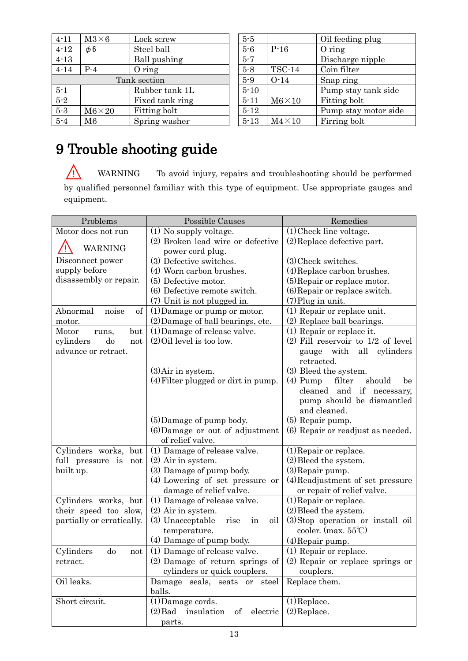| $4 - 11$     | $M3\times 6$  | Lock screw      |  |
|--------------|---------------|-----------------|--|
| $4 - 12$     | $\phi$ 6      | Steel ball      |  |
| $4 - 13$     |               | Ball pushing    |  |
| $4 - 14$     | $P-4$         | $0$ ring        |  |
| Tank section |               |                 |  |
| $5 - 1$      |               | Rubber tank 1L  |  |
| $5 - 2$      |               | Fixed tank ring |  |
| $5-3$        | $M6\times 20$ | Fitting bolt    |  |
| $5 - 4$      | M6            | Spring washer   |  |

| $5 - 5$  |               | Oil feeding plug     |
|----------|---------------|----------------------|
| $5 - 6$  | $P-16$        | $0$ ring             |
| $5 - 7$  |               | Discharge nipple     |
| $5 - 8$  | <b>TSC-14</b> | Coin filter          |
| $5-9$    | $O-14$        | Snap ring            |
| $5 - 10$ |               | Pump stay tank side  |
| $5 - 11$ | $M6\times10$  | Fitting bolt         |
| $5 - 12$ |               | Pump stay motor side |
| $5 - 13$ | $M4\times10$  | Firring bolt         |

## 9 Trouble shooting guide

WARNING To avoid injury, repairs and troubleshooting should be performed by qualified personnel familiar with this type of equipment. Use appropriate gauges and equipment.

| Problems                  | <b>Possible Causes</b><br>Remedies        |                                      |  |
|---------------------------|-------------------------------------------|--------------------------------------|--|
| Motor does not run        | (1) No supply voltage.                    | $(1)$ Check line voltage.            |  |
|                           | (2) Broken lead wire or defective         | $(2)$ Replace defective part.        |  |
| WARNING                   | power cord plug.                          |                                      |  |
| Disconnect power          | (3) Defective switches.                   | (3) Check switches.                  |  |
| supply before             | (4) Worn carbon brushes.                  | (4) Replace carbon brushes.          |  |
| disassembly or repair.    | (5) Defective motor.                      | (5) Repair or replace motor.         |  |
|                           | (6) Defective remote switch.              | (6) Repair or replace switch.        |  |
|                           | (7) Unit is not plugged in.               | (7) Plug in unit.                    |  |
| Abnormal<br>noise<br>of   | $(1)$ Damage or pump or motor.            | (1) Repair or replace unit.          |  |
| motor.                    | (2) Damage of ball bearings, etc.         | (2) Replace ball bearings.           |  |
| Motor<br>but<br>runs,     | (1) Damage of release valve.              | (1) Repair or replace it.            |  |
| cylinders<br>do<br>not    | $(2)$ Oil level is too low.               | $(2)$ Fill reservoir to 1/2 of level |  |
| advance or retract.       |                                           | all<br>cylinders<br>gauge with       |  |
|                           |                                           | retracted.                           |  |
|                           | $(3)$ Air in system.                      | (3) Bleed the system.                |  |
|                           | $(4)$ Filter plugged or dirt in pump.     | $(4)$ Pump<br>filter<br>should<br>be |  |
|                           |                                           | if necessary,<br>cleaned<br>and      |  |
|                           |                                           | pump should be dismantled            |  |
|                           |                                           | and cleaned.                         |  |
|                           | (5) Damage of pump body.                  | (5) Repair pump.                     |  |
|                           | (6) Damage or out of adjustment           | (6) Repair or readjust as needed.    |  |
|                           | of relief valve.                          |                                      |  |
| Cylinders works, but      | (1) Damage of release valve.              | (1) Repair or replace.               |  |
| full pressure is<br>not   | $(2)$ Air in system.                      | $(2)$ Bleed the system.              |  |
| built up.                 | (3) Damage of pump body.                  | $(3)$ Repair pump.                   |  |
|                           | (4) Lowering of set pressure or           | (4) Readjustment of set pressure     |  |
|                           | damage of relief valve.                   | or repair of relief valve.           |  |
| Cylinders works, but      | (1) Damage of release valve.              | $(1)$ Repair or replace.             |  |
| their speed too slow,     | $(2)$ Air in system.                      | $(2)$ Bleed the system.              |  |
| partially or erratically. | (3) Unacceptable<br>oil<br>rise<br>in     | (3) Stop operation or install oil    |  |
|                           | temperature.                              | cooler. (max. $55^{\circ}$ C)        |  |
|                           | (4) Damage of pump body.                  | (4) Repair pump.                     |  |
| Cylinders<br>do<br>not    | (1) Damage of release valve.              | $(1)$ Repair or replace.             |  |
| retract.                  | (2) Damage of return springs of           | (2) Repair or replace springs or     |  |
|                           | cylinders or quick couplers.              | couplers.                            |  |
| Oil leaks.                | Damage seals, seats or steel              | Replace them.                        |  |
|                           | balls.                                    |                                      |  |
| Short circuit.            | $(1)$ Damage cords.                       | $(1)$ Replace.                       |  |
|                           | $(2)$ Bad<br>insulation<br>electric<br>of | $(2)$ Replace.                       |  |
|                           | parts.                                    |                                      |  |